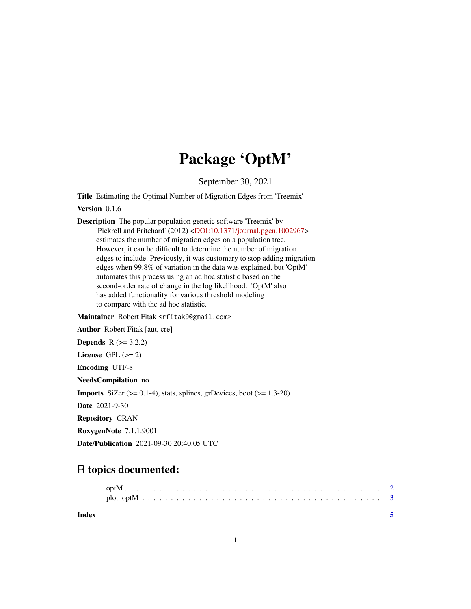## Package 'OptM'

September 30, 2021

Title Estimating the Optimal Number of Migration Edges from 'Treemix'

Version 0.1.6

Description The popular population genetic software 'Treemix' by 'Pickrell and Pritchard' (2012) [<DOI:10.1371/journal.pgen.1002967>](https://doi.org/10.1371/journal.pgen.1002967) estimates the number of migration edges on a population tree. However, it can be difficult to determine the number of migration edges to include. Previously, it was customary to stop adding migration edges when 99.8% of variation in the data was explained, but 'OptM' automates this process using an ad hoc statistic based on the second-order rate of change in the log likelihood. 'OptM' also has added functionality for various threshold modeling to compare with the ad hoc statistic.

Maintainer Robert Fitak <rfitak9@gmail.com>

Author Robert Fitak [aut, cre]

**Depends**  $R (= 3.2.2)$ 

License GPL  $(>= 2)$ 

Encoding UTF-8

NeedsCompilation no

**Imports** SiZer  $(>= 0.1-4)$ , stats, splines, grDevices, boot  $(>= 1.3-20)$ 

Date 2021-9-30

Repository CRAN

RoxygenNote 7.1.1.9001

Date/Publication 2021-09-30 20:40:05 UTC

### R topics documented:

**Index** [5](#page-4-0). The second state of the second state of the second state of the second state of the second state of the second state of the second state of the second state of the second state of the second state of the second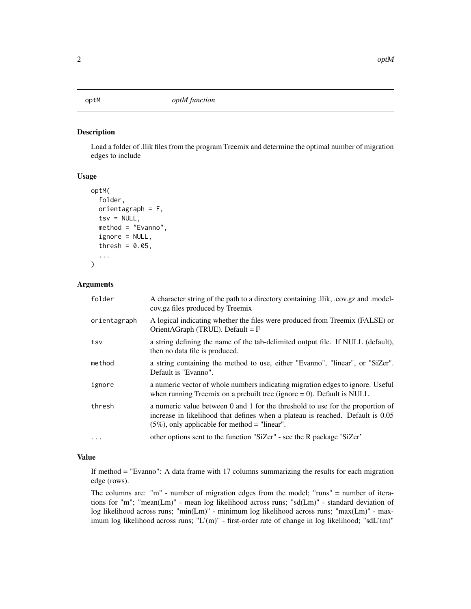#### <span id="page-1-0"></span>Description

Load a folder of .llik files from the program Treemix and determine the optimal number of migration edges to include

#### Usage

```
optM(
  folder,
  orientagraph = F,
  tsv = NULL,method = "Evanno",
  ignore = NULL,
  thresh = 0.05,
  ...
)
```
#### Arguments

| folder       | A character string of the path to a directory containing .llik, .cov.gz and .model-<br>cov.gz files produced by Treemix                                                                                              |
|--------------|----------------------------------------------------------------------------------------------------------------------------------------------------------------------------------------------------------------------|
| orientagraph | A logical indicating whether the files were produced from Treemix (FALSE) or<br>OrientAGraph (TRUE). Default = $F$                                                                                                   |
| tsv          | a string defining the name of the tab-delimited output file. If NULL (default),<br>then no data file is produced.                                                                                                    |
| method       | a string containing the method to use, either "Evanno", "linear", or "SiZer".<br>Default is "Evanno".                                                                                                                |
| ignore       | a numeric vector of whole numbers indicating migration edges to ignore. Useful<br>when running Treemix on a prebuilt tree (ignore $= 0$ ). Default is NULL.                                                          |
| thresh       | a numeric value between 0 and 1 for the threshold to use for the proportion of<br>increase in likelihood that defines when a plateau is reached. Default is 0.05<br>$(5\%)$ , only applicable for method = "linear". |
| $\ddotsc$    | other options sent to the function "SiZer" - see the R package 'SiZer'                                                                                                                                               |

#### Value

If method = "Evanno": A data frame with 17 columns summarizing the results for each migration edge (rows).

The columns are: "m" - number of migration edges from the model; "runs" = number of iterations for "m"; "mean(Lm)" - mean log likelihood across runs; "sd(Lm)" - standard deviation of log likelihood across runs; "min(Lm)" - minimum log likelihood across runs; "max(Lm)" - maximum log likelihood across runs; "L'(m)" - first-order rate of change in log likelihood; "sdL'(m)"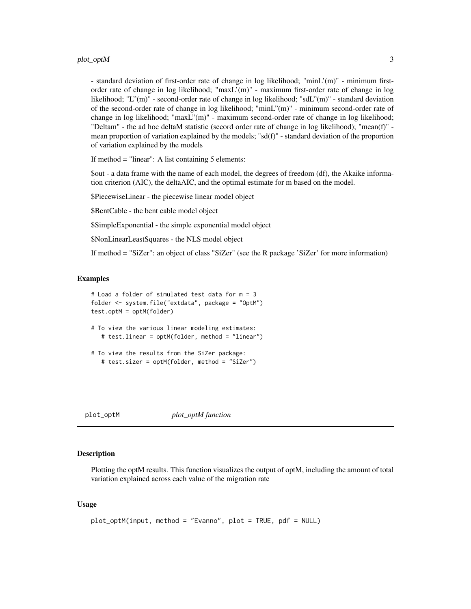<span id="page-2-0"></span>- standard deviation of first-order rate of change in log likelihood; "minL'(m)" - minimum firstorder rate of change in log likelihood; "maxL'(m)" - maximum first-order rate of change in log likelihood; "L"(m)" - second-order rate of change in log likelihood; "sdL"(m)" - standard deviation of the second-order rate of change in log likelihood; "minL"(m)" - minimum second-order rate of change in log likelihood; "maxL"(m)" - maximum second-order rate of change in log likelihood; "Deltam" - the ad hoc deltaM statistic (secord order rate of change in log likelihood); "mean(f)" mean proportion of variation explained by the models; "sd(f)" - standard deviation of the proportion of variation explained by the models

If method = "linear": A list containing 5 elements:

\$out - a data frame with the name of each model, the degrees of freedom (df), the Akaike information criterion (AIC), the deltaAIC, and the optimal estimate for m based on the model.

\$PiecewiseLinear - the piecewise linear model object

\$BentCable - the bent cable model object

\$SimpleExponential - the simple exponential model object

\$NonLinearLeastSquares - the NLS model object

If method = "SiZer": an object of class "SiZer" (see the R package 'SiZer' for more information)

#### Examples

```
# Load a folder of simulated test data for m = 3
folder <- system.file("extdata", package = "OptM")
test.optM = optM(folder)
```
- # To view the various linear modeling estimates: # test.linear = optM(folder, method = "linear")
- # To view the results from the SiZer package: # test.sizer = optM(folder, method = "SiZer")

plot\_optM *plot\_optM function*

#### Description

Plotting the optM results. This function visualizes the output of optM, including the amount of total variation explained across each value of the migration rate

#### Usage

```
plot_optM(input, method = "Evanno", plot = TRUE, pdf = NULL)
```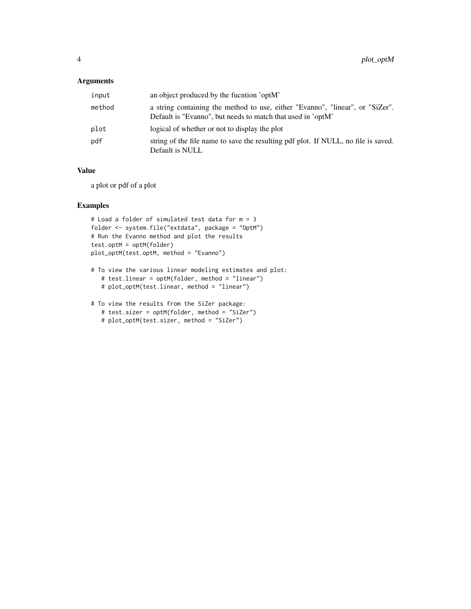#### Arguments

| input  | an object produced by the fucntion 'optM'                                                                                                    |
|--------|----------------------------------------------------------------------------------------------------------------------------------------------|
| method | a string containing the method to use, either "Evanno", "linear", or "SiZer".<br>Default is "Evanno", but needs to match that used in 'optM' |
| plot   | logical of whether or not to display the plot                                                                                                |
| pdf    | string of the file name to save the resulting pdf plot. If NULL, no file is saved.<br>Default is NULL                                        |

#### Value

a plot or pdf of a plot

#### Examples

```
# Load a folder of simulated test data for m = 3
folder <- system.file("extdata", package = "OptM")
# Run the Evanno method and plot the results
test.optM = optM(folder)
plot_optM(test.optM, method = "Evanno")
```
- # To view the various linear modeling estimates and plot: # test.linear = optM(folder, method = "linear") # plot\_optM(test.linear, method = "linear")
- # To view the results from the SiZer package: # test.sizer = optM(folder, method = "SiZer")
	- # plot\_optM(test.sizer, method = "SiZer")